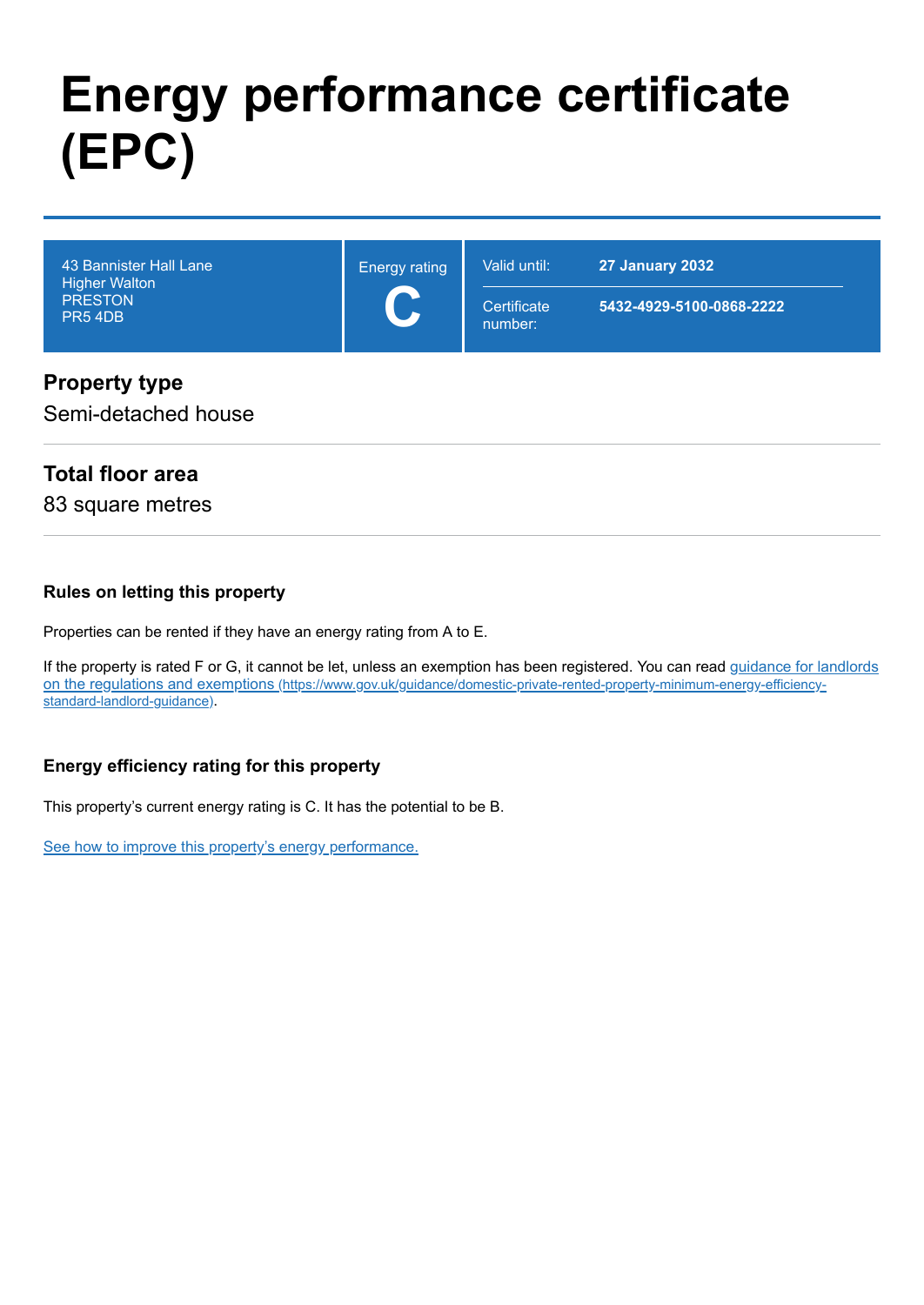# **Energy performance certificate (EPC)**

| $\sum$<br><b>PRESTON</b><br>Certificate<br>5432-4929-5100-0868-2222<br>$\overline{\phantom{a}}$<br><b>PR5 4DB</b> | 43 Bannister Hall Lane<br><b>Higher Walton</b> | <b>Energy rating</b> | Valid until: | <b>27 January 2032</b> |
|-------------------------------------------------------------------------------------------------------------------|------------------------------------------------|----------------------|--------------|------------------------|
|                                                                                                                   |                                                |                      | number:      |                        |

#### **Property type**

Semi-detached house

#### **Total floor area**

83 square metres

#### **Rules on letting this property**

Properties can be rented if they have an energy rating from A to E.

[If the property is rated F or G, it cannot be let, unless an exemption has been registered. You can read guidance for landlords](https://www.gov.uk/guidance/domestic-private-rented-property-minimum-energy-efficiency-standard-landlord-guidance) on the regulations and exemptions (https://www.gov.uk/guidance/domestic-private-rented-property-minimum-energy-efficiencystandard-landlord-guidance).

#### **Energy efficiency rating for this property**

This property's current energy rating is C. It has the potential to be B.

[See how to improve this property's energy performance.](#page-3-0)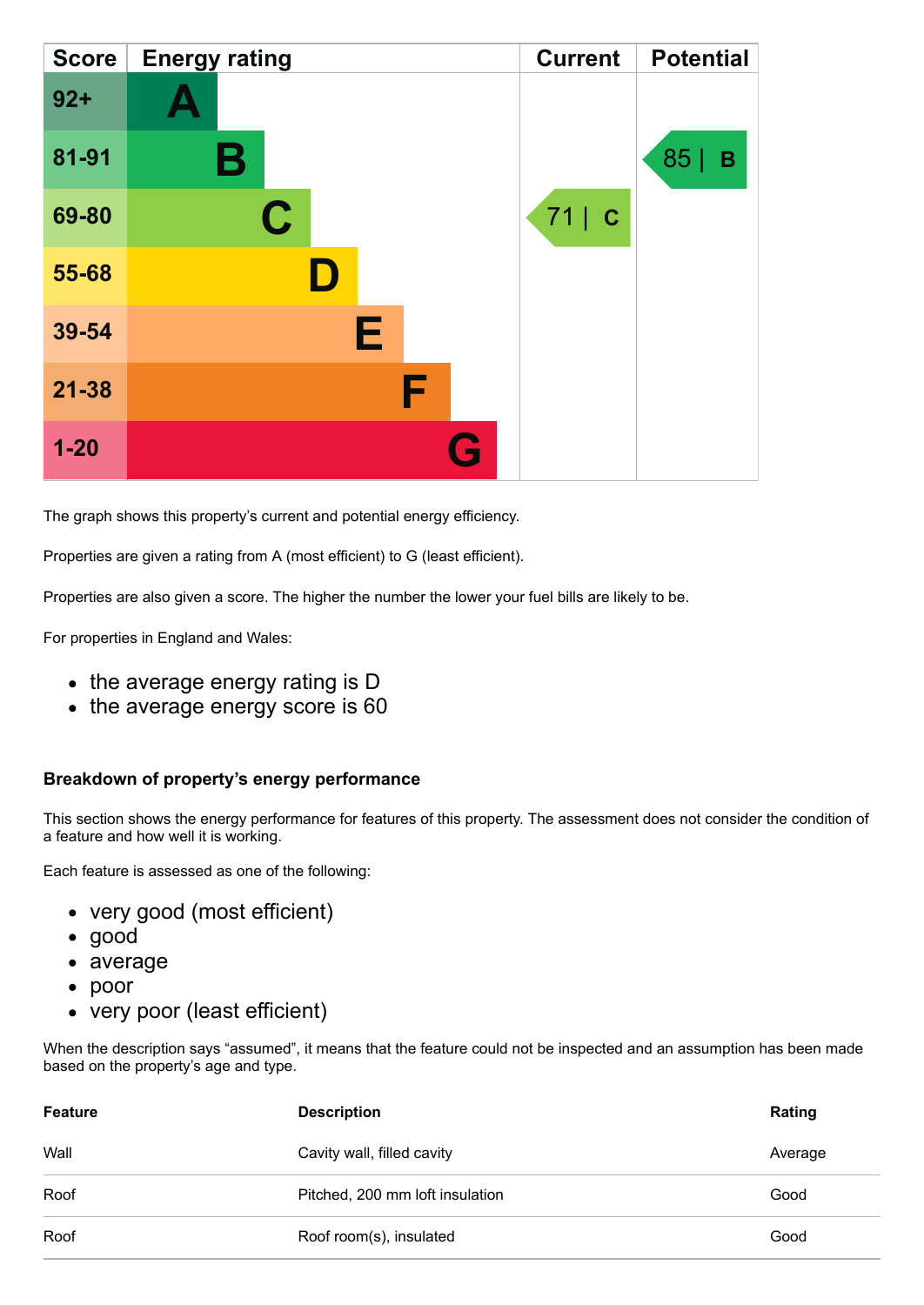| <b>Score</b> | <b>Energy rating</b> | <b>Current</b> | <b>Potential</b> |
|--------------|----------------------|----------------|------------------|
| $92 +$       |                      |                |                  |
| 81-91        | Β                    |                | 85<br>B          |
| 69-80        | $\mathbf C$          | 71   C         |                  |
| 55-68        |                      |                |                  |
| 39-54        | Е                    |                |                  |
| $21 - 38$    | F                    |                |                  |
| $1 - 20$     | G                    |                |                  |

The graph shows this property's current and potential energy efficiency.

Properties are given a rating from A (most efficient) to G (least efficient).

Properties are also given a score. The higher the number the lower your fuel bills are likely to be.

For properties in England and Wales:

- the average energy rating is D
- the average energy score is 60

#### **Breakdown of property's energy performance**

This section shows the energy performance for features of this property. The assessment does not consider the condition of a feature and how well it is working.

Each feature is assessed as one of the following:

- very good (most efficient)
- good
- average
- poor
- very poor (least efficient)

When the description says "assumed", it means that the feature could not be inspected and an assumption has been made based on the property's age and type.

| <b>Feature</b> | <b>Description</b>              | Rating  |
|----------------|---------------------------------|---------|
| Wall           | Cavity wall, filled cavity      | Average |
| Roof           | Pitched, 200 mm loft insulation | Good    |
| Roof           | Roof room(s), insulated         | Good    |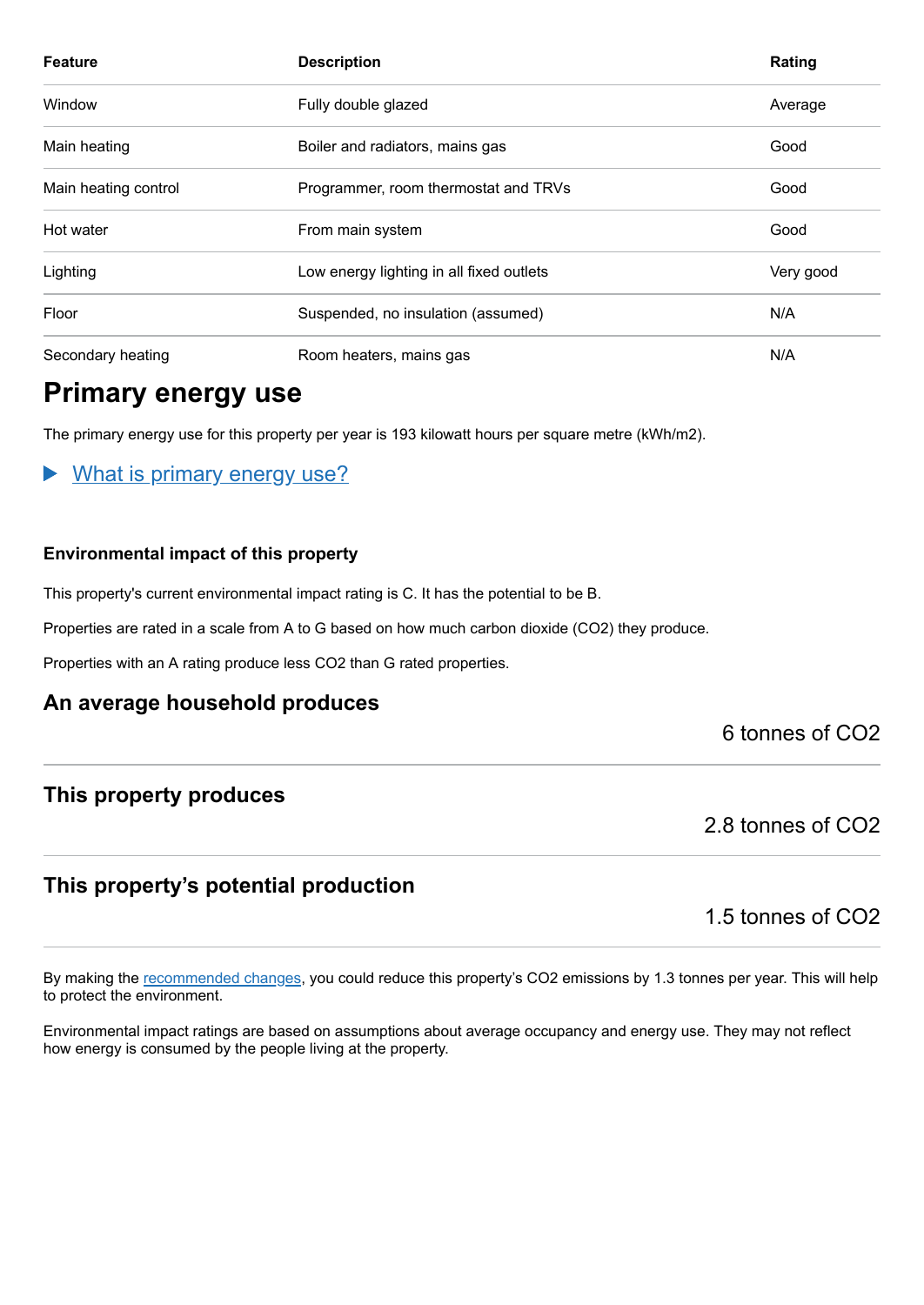| <b>Feature</b>       | <b>Description</b>                       | Rating    |
|----------------------|------------------------------------------|-----------|
| Window               | Fully double glazed                      | Average   |
| Main heating         | Boiler and radiators, mains gas          | Good      |
| Main heating control | Programmer, room thermostat and TRVs     | Good      |
| Hot water            | From main system                         | Good      |
| Lighting             | Low energy lighting in all fixed outlets | Very good |
| Floor                | Suspended, no insulation (assumed)       | N/A       |
| Secondary heating    | Room heaters, mains gas                  | N/A       |

## **Primary energy use**

The primary energy use for this property per year is 193 kilowatt hours per square metre (kWh/m2).

#### What is primary energy use?

#### **Environmental impact of this property**

This property's current environmental impact rating is C. It has the potential to be B.

Properties are rated in a scale from A to G based on how much carbon dioxide (CO2) they produce.

Properties with an A rating produce less CO2 than G rated properties.

#### **An average household produces**

6 tonnes of CO2

#### **This property produces**

2.8 tonnes of CO2

#### **This property's potential production**

1.5 tonnes of CO2

By making the [recommended changes,](#page-3-0) you could reduce this property's CO2 emissions by 1.3 tonnes per year. This will help to protect the environment.

Environmental impact ratings are based on assumptions about average occupancy and energy use. They may not reflect how energy is consumed by the people living at the property.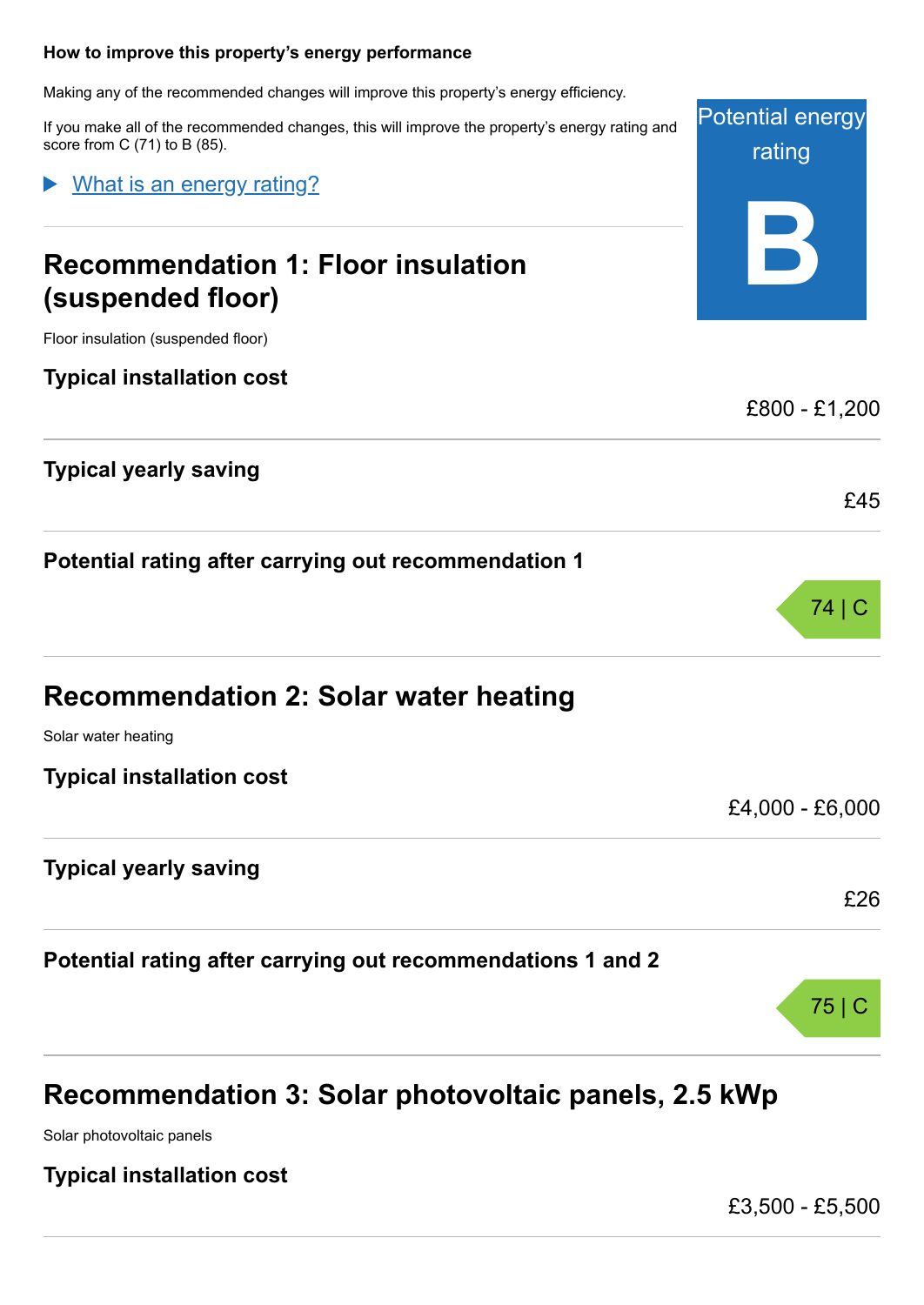#### <span id="page-3-0"></span>**How to improve this property's energy performance**

Making any of the recommended changes will improve this property's energy efficiency.

If you make all of the recommended changes, this will improve the property's energy rating and score from C (71) to B (85).

What is an energy rating?

# **Recommendation 1: Floor insulation (suspended floor)**

Floor insulation (suspended floor)

**Typical installation cost**

**Typical yearly saving**

**Potential rating after carrying out recommendation 1**

| <b>Recommendation 2: Solar water heating</b> |  |  |  |  |
|----------------------------------------------|--|--|--|--|
|----------------------------------------------|--|--|--|--|

Solar water heating

**Typical installation cost**

**Typical yearly saving**

**Potential rating after carrying out recommendations 1 and 2**

# **Recommendation 3: Solar photovoltaic panels, 2.5 kWp**

Solar photovoltaic panels

**Typical installation cost**

£3,500 - £5,500





£45

£4,000 - £6,000

£26

75 | C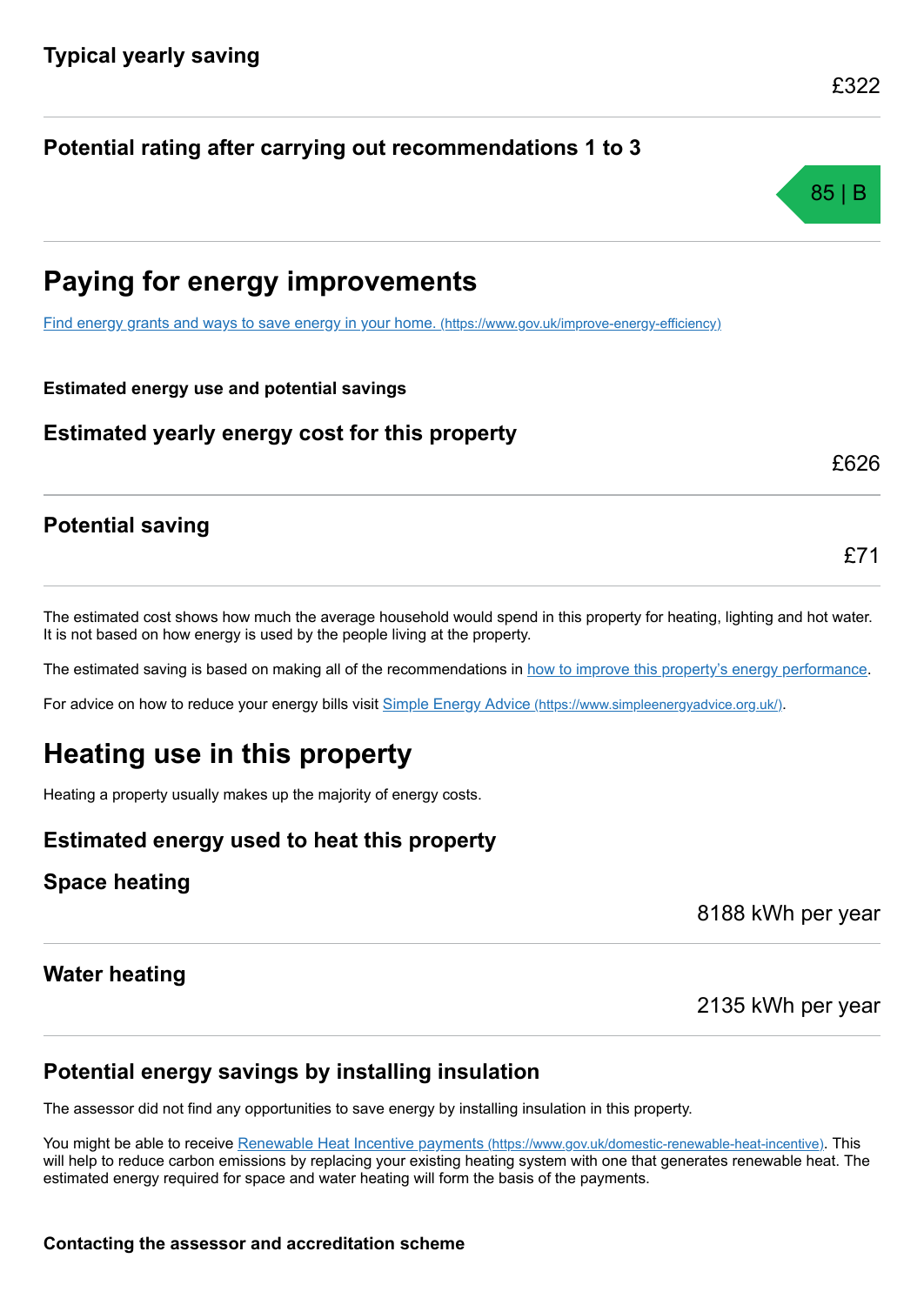# **Potential rating after carrying out recommendations 1 to 3**

# **Paying for energy improvements**

[Find energy grants and ways to save energy in your home.](https://www.gov.uk/improve-energy-efficiency) (https://www.gov.uk/improve-energy-efficiency)

**Estimated energy use and potential savings**

**Estimated yearly energy cost for this property**

## **Potential saving**

The estimated cost shows how much the average household would spend in this property for heating, lighting and hot water. It is not based on how energy is used by the people living at the property.

The estimated saving is based on making all of the recommendations in [how to improve this property's energy performance.](#page-3-0)

For advice on how to reduce your energy bills visit Simple Energy Advice [\(https://www.simpleenergyadvice.org.uk/\)](https://www.simpleenergyadvice.org.uk/).

# **Heating use in this property**

Heating a property usually makes up the majority of energy costs.

## **Estimated energy used to heat this property**

## **Space heating**

8188 kWh per year

2135 kWh per year

## **Water heating**

## **Potential energy savings by installing insulation**

The assessor did not find any opportunities to save energy by installing insulation in this property.

You might be able to receive Renewable Heat Incentive payments [\(https://www.gov.uk/domestic-renewable-heat-incentive\)](https://www.gov.uk/domestic-renewable-heat-incentive). This will help to reduce carbon emissions by replacing your existing heating system with one that generates renewable heat. The estimated energy required for space and water heating will form the basis of the payments.

£322



£71

£626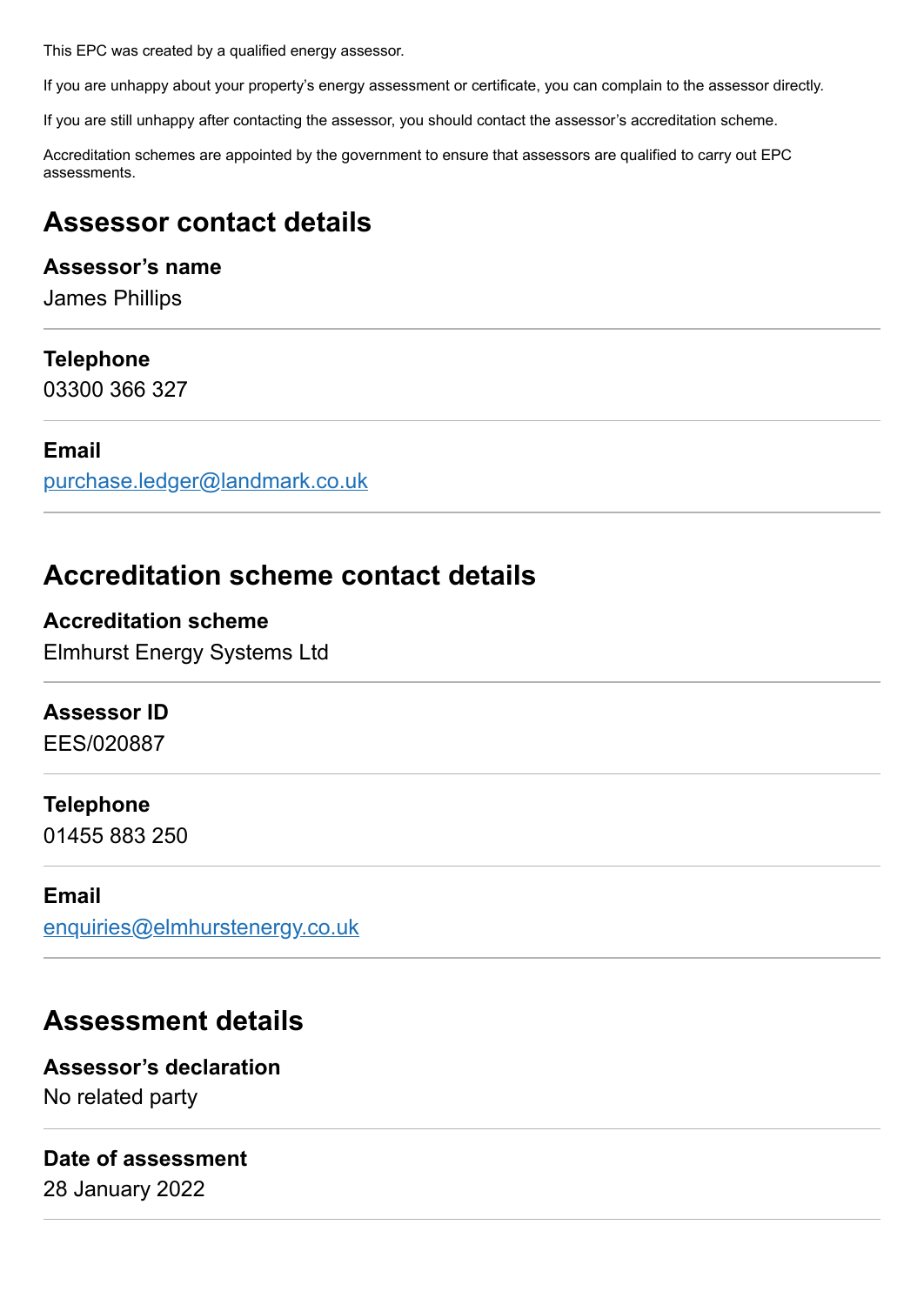This EPC was created by a qualified energy assessor.

If you are unhappy about your property's energy assessment or certificate, you can complain to the assessor directly.

If you are still unhappy after contacting the assessor, you should contact the assessor's accreditation scheme.

Accreditation schemes are appointed by the government to ensure that assessors are qualified to carry out EPC assessments.

# **Assessor contact details**

#### **Assessor's name**

James Phillips

#### **Telephone**

03300 366 327

#### **Email**

[purchase.ledger@landmark.co.uk](mailto:purchase.ledger@landmark.co.uk)

## **Accreditation scheme contact details**

### **Accreditation scheme**

Elmhurst Energy Systems Ltd

#### **Assessor ID**

EES/020887

#### **Telephone**

01455 883 250

#### **Email**

[enquiries@elmhurstenergy.co.uk](mailto:enquiries@elmhurstenergy.co.uk)

# **Assessment details**

**Assessor's declaration** No related party

#### **Date of assessment**

28 January 2022